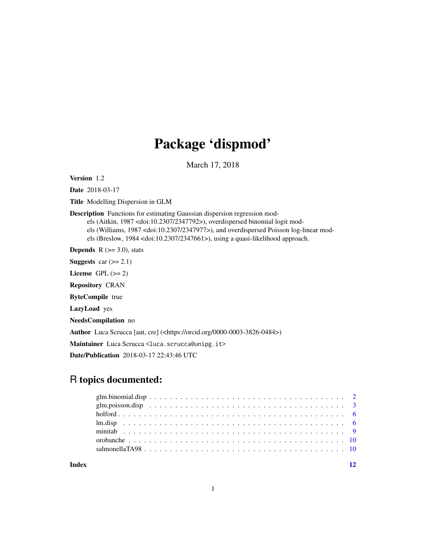## Package 'dispmod'

March 17, 2018

<span id="page-0-0"></span>Version 1.2

Date 2018-03-17

Title Modelling Dispersion in GLM

Description Functions for estimating Gaussian dispersion regression models (Aitkin, 1987 <doi:10.2307/2347792>), overdispersed binomial logit models (Williams, 1987 <doi:10.2307/2347977>), and overdispersed Poisson log-linear models (Breslow, 1984 <doi:10.2307/2347661>), using a quasi-likelihood approach.

**Depends**  $R$  ( $> = 3.0$ ), stats

**Suggests** car  $(>= 2.1)$ 

License GPL  $(>= 2)$ 

Repository CRAN

ByteCompile true

LazyLoad yes

NeedsCompilation no

Author Luca Scrucca [aut, cre] (<https://orcid.org/0000-0003-3826-0484>)

Maintainer Luca Scrucca <luca.scrucca@unipg.it>

Date/Publication 2018-03-17 22:43:46 UTC

### R topics documented:

**Index** [12](#page-11-0)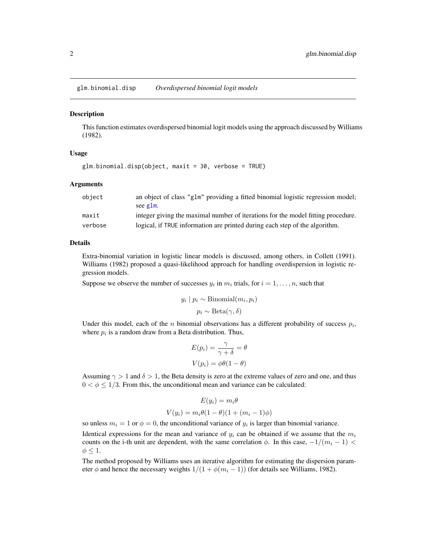<span id="page-1-1"></span><span id="page-1-0"></span>glm.binomial.disp *Overdispersed binomial logit models*

#### **Description**

This function estimates overdispersed binomial logit models using the approach discussed by Williams (1982).

#### Usage

```
glm.binomial.disp(object, maxit = 30, verbose = TRUE)
```
#### **Arguments**

| object  | an object of class "g1m" providing a fitted binomial logistic regression model;<br>see glm. |
|---------|---------------------------------------------------------------------------------------------|
| maxit   | integer giving the maximal number of iterations for the model fitting procedure.            |
| verbose | logical, if TRUE information are printed during each step of the algorithm.                 |

#### Details

Extra-binomial variation in logistic linear models is discussed, among others, in Collett (1991). Williams (1982) proposed a quasi-likelihood approach for handling overdispersion in logistic regression models.

Suppose we observe the number of successes  $y_i$  in  $m_i$  trials, for  $i = 1, \ldots, n$ , such that

$$
y_i | p_i \sim \text{Binomial}(m_i, p_i)
$$
  
 $p_i \sim \text{Beta}(\gamma, \delta)$ 

Under this model, each of the *n* binomial observations has a different probability of success  $p_i$ , where  $p_i$  is a random draw from a Beta distribution. Thus,

$$
E(p_i) = \frac{\gamma}{\gamma + \delta} = \theta
$$

$$
V(p_i) = \phi\theta(1 - \theta)
$$

Assuming  $\gamma > 1$  and  $\delta > 1$ , the Beta density is zero at the extreme values of zero and one, and thus  $0 < \phi \leq 1/3$ . From this, the unconditional mean and variance can be calculated:

$$
E(y_i) = m_i \theta
$$
  

$$
V(y_i) = m_i \theta (1 - \theta)(1 + (m_i - 1)\phi)
$$

so unless  $m_i = 1$  or  $\phi = 0$ , the unconditional variance of  $y_i$  is larger than binomial variance. Identical expressions for the mean and variance of  $y_i$  can be obtained if we assume that the  $m_i$ counts on the i-th unit are dependent, with the same correlation  $\phi$ . In this case,  $-1/(m_i - 1)$  $\phi \leq 1$ .

The method proposed by Williams uses an iterative algorithm for estimating the dispersion parameter  $\phi$  and hence the necessary weights  $1/(1 + \phi(m_i - 1))$  (for details see Williams, 1982).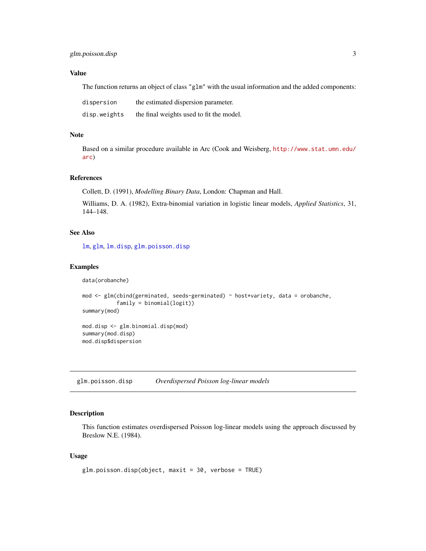#### <span id="page-2-0"></span>Value

The function returns an object of class "glm" with the usual information and the added components:

| dispersion   | the estimated dispersion parameter.      |
|--------------|------------------------------------------|
| disp.weights | the final weights used to fit the model. |

#### Note

Based on a similar procedure available in Arc (Cook and Weisberg, [http://www.stat.umn.edu/](http://www.stat.umn.edu/arc) [arc](http://www.stat.umn.edu/arc))

#### References

Collett, D. (1991), *Modelling Binary Data*, London: Chapman and Hall.

Williams, D. A. (1982), Extra-binomial variation in logistic linear models, *Applied Statistics*, 31, 144–148.

#### See Also

[lm](#page-0-0), [glm](#page-0-0), [lm.disp](#page-5-1), [glm.poisson.disp](#page-2-1)

#### Examples

```
data(orobanche)
```

```
mod <- glm(cbind(germinated, seeds-germinated) ~ host*variety, data = orobanche,
           family = binomial(logit))
summary(mod)
```
mod.disp <- glm.binomial.disp(mod) summary(mod.disp) mod.disp\$dispersion

<span id="page-2-1"></span>glm.poisson.disp *Overdispersed Poisson log-linear models*

### Description

This function estimates overdispersed Poisson log-linear models using the approach discussed by Breslow N.E. (1984).

#### Usage

```
glm.poisson.disp(object, maxit = 30, verbose = TRUE)
```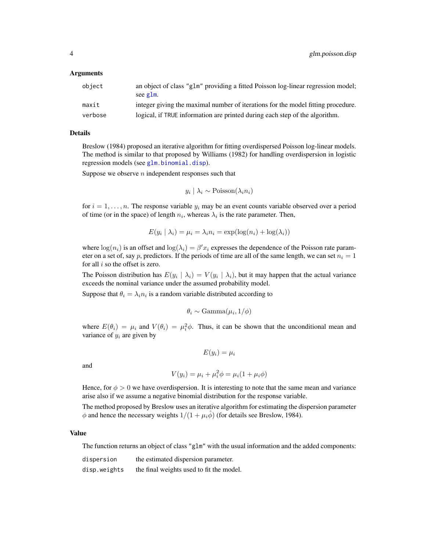#### <span id="page-3-0"></span>Arguments

| object  | an object of class "glm" providing a fitted Poisson log-linear regression model;<br>see g1m. |
|---------|----------------------------------------------------------------------------------------------|
| maxit   | integer giving the maximal number of iterations for the model fitting procedure.             |
| verbose | logical, if TRUE information are printed during each step of the algorithm.                  |

#### Details

Breslow (1984) proposed an iterative algorithm for fitting overdispersed Poisson log-linear models. The method is similar to that proposed by Williams (1982) for handling overdispersion in logistic regression models (see [glm.binomial.disp](#page-1-1)).

Suppose we observe  $n$  independent responses such that

$$
y_i | \lambda_i \sim \text{Poisson}(\lambda_i n_i)
$$

for  $i = 1, \ldots, n$ . The response variable  $y_i$  may be an event counts variable observed over a period of time (or in the space) of length  $n_i$ , whereas  $\lambda_i$  is the rate parameter. Then,

$$
E(y_i | \lambda_i) = \mu_i = \lambda_i n_i = \exp(\log(n_i) + \log(\lambda_i))
$$

where  $\log(n_i)$  is an offset and  $\log(\lambda_i) = \beta' x_i$  expresses the dependence of the Poisson rate parameter on a set of, say p, predictors. If the periods of time are all of the same length, we can set  $n<sub>i</sub> = 1$ for all  $i$  so the offset is zero.

The Poisson distribution has  $E(y_i | \lambda_i) = V(y_i | \lambda_i)$ , but it may happen that the actual variance exceeds the nominal variance under the assumed probability model.

Suppose that  $\theta_i = \lambda_i n_i$  is a random variable distributed according to

$$
\theta_i \sim \text{Gamma}(\mu_i, 1/\phi)
$$

where  $E(\theta_i) = \mu_i$  and  $V(\theta_i) = \mu_i^2 \phi$ . Thus, it can be shown that the unconditional mean and variance of  $y_i$  are given by

$$
E(y_i) = \mu_i
$$

and

$$
V(y_i) = \mu_i + \mu_i^2 \phi = \mu_i (1 + \mu_i \phi)
$$

Hence, for  $\phi > 0$  we have overdispersion. It is interesting to note that the same mean and variance arise also if we assume a negative binomial distribution for the response variable.

The method proposed by Breslow uses an iterative algorithm for estimating the dispersion parameter  $\phi$  and hence the necessary weights  $1/(1 + \mu_i \phi)$  (for details see Breslow, 1984).

#### Value

The function returns an object of class "glm" with the usual information and the added components:

| dispersion   | the estimated dispersion parameter.      |
|--------------|------------------------------------------|
| disp.weights | the final weights used to fit the model. |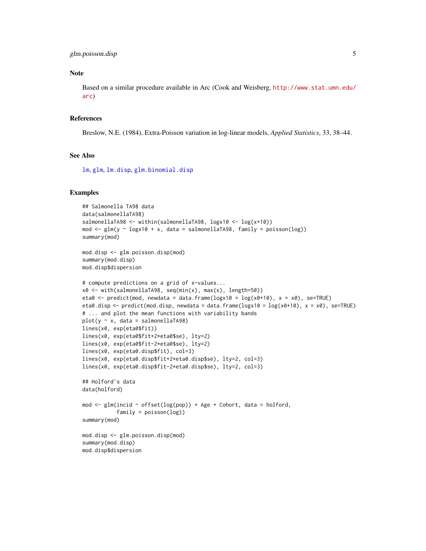#### <span id="page-4-0"></span>Note

Based on a similar procedure available in Arc (Cook and Weisberg, [http://www.stat.umn.edu/](http://www.stat.umn.edu/arc) [arc](http://www.stat.umn.edu/arc))

#### References

Breslow, N.E. (1984), Extra-Poisson variation in log-linear models, *Applied Statistics*, 33, 38–44.

#### See Also

[lm](#page-0-0), [glm](#page-0-0), [lm.disp](#page-5-1), [glm.binomial.disp](#page-1-1)

#### Examples

```
## Salmonella TA98 data
data(salmonellaTA98)
salmonellaTA98 <- within(salmonellaTA98, logx10 <- log(x+10))
mod \leq glm(y \sim logx10 + x, data = salmonellaTA98, family = poisson(log))
summary(mod)
mod.disp <- glm.poisson.disp(mod)
summary(mod.disp)
mod.disp$dispersion
# compute predictions on a grid of x-values...
x0 <- with(salmonellaTA98, seq(min(x), max(x), length=50))
eta0 <- predict(mod, newdata = data.frame(\log x10 = \log(x0+10), x = x0), se=TRUE)
eta0.disp <- predict(mod.disp, newdata = data.frame(logx10 = log(x0+10), x = x0), se=TRUE)
# ... and plot the mean functions with variability bands
plot(y \sim x, data = salmonellaTA98)lines(x0, exp(eta0$fit))
lines(x0, exp(eta0$fit+2*eta0$se), lty=2)
lines(x0, exp(eta0$fit-2*eta0$se), lty=2)
lines(x0, exp(eta0.disp$fit), col=3)
lines(x0, exp(eta0.disp$fit+2*eta0.disp$se), lty=2, col=3)
lines(x0, exp(eta0.disp$fit-2*eta0.disp$se), lty=2, col=3)
## Holford's data
data(holford)
mod \leq glm(incid \sim offset(log(pop)) + Age + Cohort, data = holford,
           family = poisson(log)summary(mod)
mod.disp <- glm.poisson.disp(mod)
summary(mod.disp)
mod.disp$dispersion
```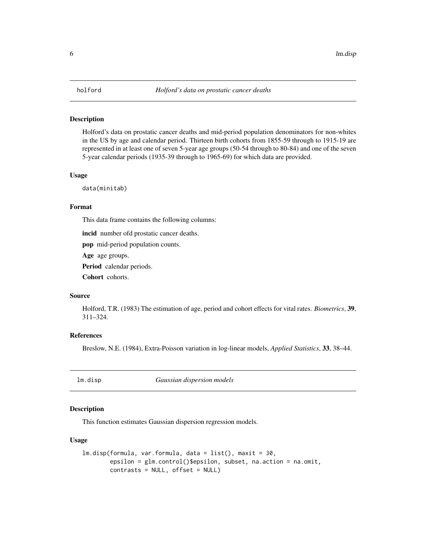#### <span id="page-5-0"></span>Description

Holford's data on prostatic cancer deaths and mid-period population denominators for non-whites in the US by age and calendar period. Thirteen birth cohorts from 1855-59 through to 1915-19 are represented in at least one of seven 5-year age groups (50-54 through to 80-84) and one of the seven 5-year calendar periods (1935-39 through to 1965-69) for which data are provided.

#### Usage

data(minitab)

#### Format

This data frame contains the following columns:

incid number ofd prostatic cancer deaths.

pop mid-period population counts.

Age age groups.

Period calendar periods.

Cohort cohorts.

#### Source

Holford, T.R. (1983) The estimation of age, period and cohort effects for vital rates. *Biometrics*, 39, 311–324.

#### References

Breslow, N.E. (1984), Extra-Poisson variation in log-linear models, *Applied Statistics*, 33, 38–44.

<span id="page-5-1"></span>lm.disp *Gaussian dispersion models*

#### Description

This function estimates Gaussian dispersion regression models.

#### Usage

```
lm.disp(formula, var.formula, data = list(), maxit = 30,
       epsilon = glm.control()$epsilon, subset, na.action = na.omit,
       contrasts = NULL, offset = NULL)
```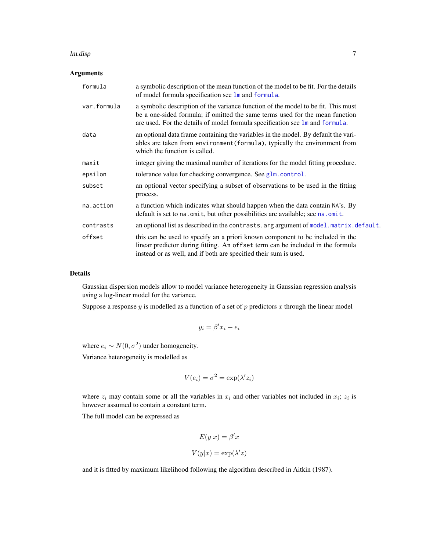#### <span id="page-6-0"></span>lm.disp  $\sim$  7

#### Arguments

| formula     | a symbolic description of the mean function of the model to be fit. For the details<br>of model formula specification see lm and formula.                                                                                                                  |
|-------------|------------------------------------------------------------------------------------------------------------------------------------------------------------------------------------------------------------------------------------------------------------|
| var.formula | a symbolic description of the variance function of the model to be fit. This must<br>be a one-sided formula; if omitted the same terms used for the mean function<br>are used. For the details of model formula specification see $\text{Im}$ and formula. |
| data        | an optional data frame containing the variables in the model. By default the vari-<br>ables are taken from environment (formula), typically the environment from<br>which the function is called.                                                          |
| maxit       | integer giving the maximal number of iterations for the model fitting procedure.                                                                                                                                                                           |
| epsilon     | tolerance value for checking convergence. See glm.control.                                                                                                                                                                                                 |
| subset      | an optional vector specifying a subset of observations to be used in the fitting<br>process.                                                                                                                                                               |
| na.action   | a function which indicates what should happen when the data contain NA's. By<br>default is set to na. omit, but other possibilities are available; see na. omit.                                                                                           |
| contrasts   | an optional list as described in the contrasts. arg argument of model. matrix. default.                                                                                                                                                                    |
| offset      | this can be used to specify an a priori known component to be included in the<br>linear predictor during fitting. An offset term can be included in the formula<br>instead or as well, and if both are specified their sum is used.                        |

#### Details

Gaussian dispersion models allow to model variance heterogeneity in Gaussian regression analysis using a log-linear model for the variance.

Suppose a response  $y$  is modelled as a function of a set of  $p$  predictors  $x$  through the linear model

$$
y_i = \beta' x_i + e_i
$$

where  $e_i \sim N(0, \sigma^2)$  under homogeneity.

Variance heterogeneity is modelled as

$$
V(e_i) = \sigma^2 = \exp(\lambda' z_i)
$$

where  $z_i$  may contain some or all the variables in  $x_i$  and other variables not included in  $x_i$ ;  $z_i$  is however assumed to contain a constant term.

The full model can be expressed as

$$
E(y|x) = \beta' x
$$

$$
V(y|x) = \exp(\lambda' z)
$$

and it is fitted by maximum likelihood following the algorithm described in Aitkin (1987).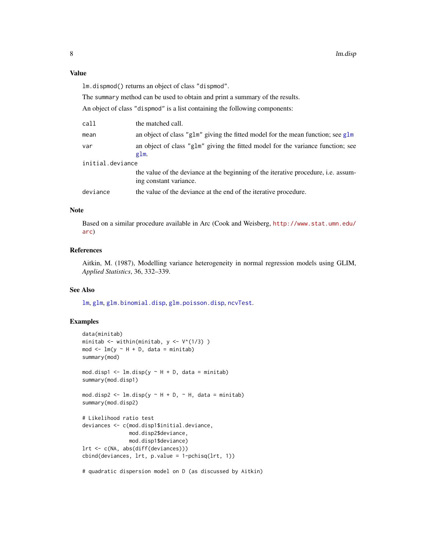#### <span id="page-7-0"></span>Value

lm.dispmod() returns an object of class "dispmod".

The summary method can be used to obtain and print a summary of the results.

An object of class "dispmod" is a list containing the following components:

| call             | the matched call.                                                                                                   |  |
|------------------|---------------------------------------------------------------------------------------------------------------------|--|
| mean             | an object of class "g1m" giving the fitted model for the mean function; see $g1m$                                   |  |
| var              | an object of class "g1m" giving the fitted model for the variance function; see<br>glm.                             |  |
| initial.deviance |                                                                                                                     |  |
|                  | the value of the deviance at the beginning of the iterative procedure, <i>i.e.</i> assum-<br>ing constant variance. |  |
| deviance         | the value of the deviance at the end of the iterative procedure.                                                    |  |
|                  |                                                                                                                     |  |

#### Note

Based on a similar procedure available in Arc (Cook and Weisberg, [http://www.stat.umn.edu/](http://www.stat.umn.edu/arc) [arc](http://www.stat.umn.edu/arc))

#### References

Aitkin, M. (1987), Modelling variance heterogeneity in normal regression models using GLIM, *Applied Statistics*, 36, 332–339.

#### See Also

[lm](#page-0-0), [glm](#page-0-0), [glm.binomial.disp](#page-1-1), [glm.poisson.disp](#page-2-1), [ncvTest](#page-0-0).

#### Examples

```
data(minitab)
minitab <- within(minitab, y <- V^(1/3) )
mod \leq - \ln(y \sim H + D, \text{ data = minith})summary(mod)
mod.disp1 <- lm.disp(y \sim H + D, data = minitab)summary(mod.disp1)
mod.disp2 <- lm.disp(y \sim H + D, \sim H, data = minitab)summary(mod.disp2)
# Likelihood ratio test
deviances <- c(mod.disp1$initial.deviance,
               mod.disp2$deviance,
               mod.disp1$deviance)
lrt <- c(NA, abs(diff(deviances)))
cbind(deviances, lrt, p.value = 1-pchisq(lrt, 1))
# quadratic dispersion model on D (as discussed by Aitkin)
```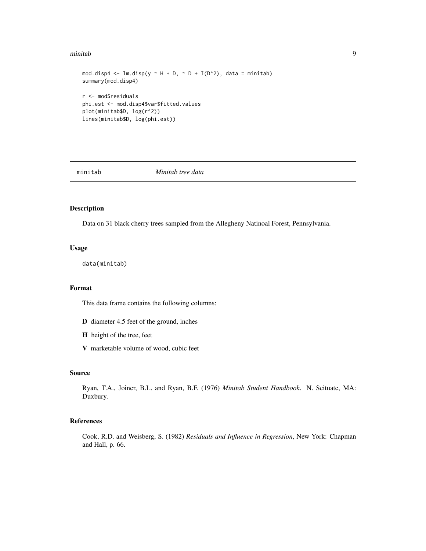#### <span id="page-8-0"></span>minitab 9

```
mod.disp4 <- lm.disp(y \sim H + D, \sim D + I(D^2)), data = minitab)
summary(mod.disp4)
r <- mod$residuals
phi.est <- mod.disp4$var$fitted.values
plot(minitab$D, log(r^2))
lines(minitab$D, log(phi.est))
```
minitab *Minitab tree data*

#### Description

Data on 31 black cherry trees sampled from the Allegheny Natinoal Forest, Pennsylvania.

#### Usage

data(minitab)

#### Format

This data frame contains the following columns:

- D diameter 4.5 feet of the ground, inches
- H height of the tree, feet
- V marketable volume of wood, cubic feet

#### Source

Ryan, T.A., Joiner, B.L. and Ryan, B.F. (1976) *Minitab Student Handbook*. N. Scituate, MA: Duxbury.

#### References

Cook, R.D. and Weisberg, S. (1982) *Residuals and Influence in Regression*, New York: Chapman and Hall, p. 66.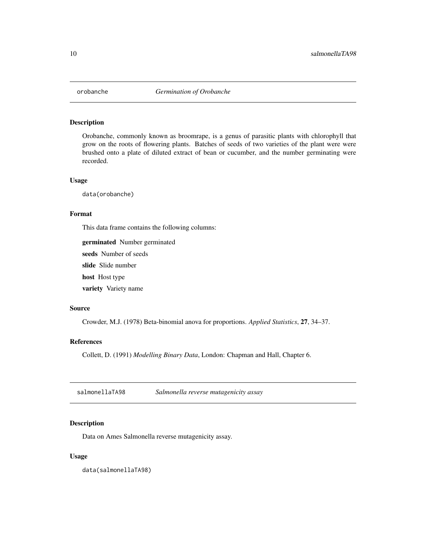<span id="page-9-0"></span>

#### Description

Orobanche, commonly known as broomrape, is a genus of parasitic plants with chlorophyll that grow on the roots of flowering plants. Batches of seeds of two varieties of the plant were were brushed onto a plate of diluted extract of bean or cucumber, and the number germinating were recorded.

#### Usage

data(orobanche)

#### Format

This data frame contains the following columns:

germinated Number germinated

seeds Number of seeds

slide Slide number

host Host type

variety Variety name

#### Source

Crowder, M.J. (1978) Beta-binomial anova for proportions. *Applied Statistics*, 27, 34–37.

#### References

Collett, D. (1991) *Modelling Binary Data*, London: Chapman and Hall, Chapter 6.

salmonellaTA98 *Salmonella reverse mutagenicity assay*

#### Description

Data on Ames Salmonella reverse mutagenicity assay.

#### Usage

data(salmonellaTA98)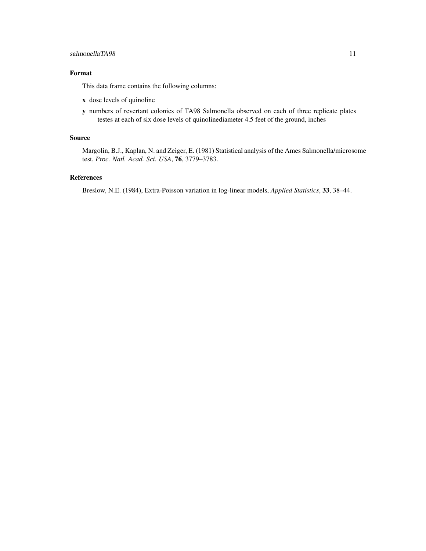#### Format

This data frame contains the following columns:

- x dose levels of quinoline
- y numbers of revertant colonies of TA98 Salmonella observed on each of three replicate plates testes at each of six dose levels of quinolinediameter 4.5 feet of the ground, inches

#### Source

Margolin, B.J., Kaplan, N. and Zeiger, E. (1981) Statistical analysis of the Ames Salmonella/microsome test, *Proc. Natl. Acad. Sci. USA*, 76, 3779–3783.

#### References

Breslow, N.E. (1984), Extra-Poisson variation in log-linear models, *Applied Statistics*, 33, 38–44.